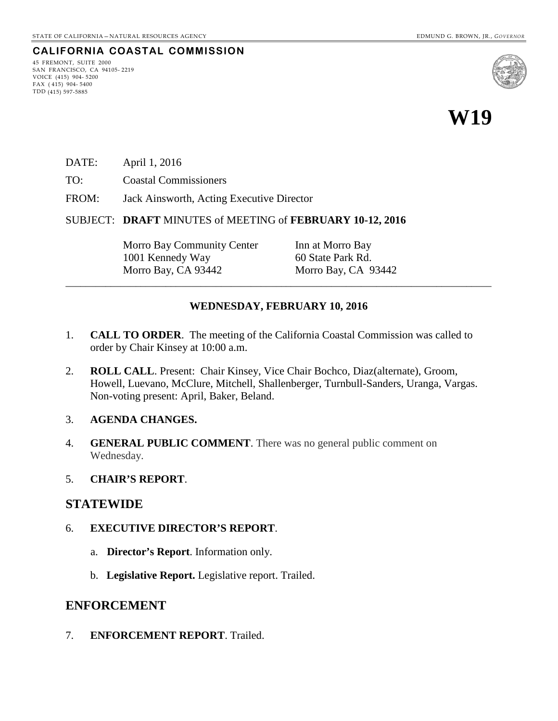## **CALIFORNIA COASTAL COMMISSION**

45 FREMONT, SUITE 2000 SAN FRANCISCO, CA 94105- 2219 VOICE (415) 904- 5200  $FAX (415) 904 - 5400$ TDD (415) 597-5885



# **W19**

- DATE: April 1, 2016
- TO: Coastal Commissioners
- FROM: Jack Ainsworth, Acting Executive Director
- SUBJECT: **DRAFT** MINUTES of MEETING of **FEBRUARY 10-12, 2016**

Morro Bay Community Center Inn at Morro Bay 1001 Kennedy Way 60 State Park Rd. Morro Bay, CA 93442 Morro Bay, CA 93442

#### **WEDNESDAY, FEBRUARY 10, 2016**

\_\_\_\_\_\_\_\_\_\_\_\_\_\_\_\_\_\_\_\_\_\_\_\_\_\_\_\_\_\_\_\_\_\_\_\_\_\_\_\_\_\_\_\_\_\_\_\_\_\_\_\_\_\_\_\_\_\_\_\_\_\_\_\_\_\_\_\_\_\_\_\_\_\_\_\_\_\_\_\_\_\_\_\_\_

- 1. **CALL TO ORDER**. The meeting of the California Coastal Commission was called to order by Chair Kinsey at 10:00 a.m.
- 2. **ROLL CALL**. Present: Chair Kinsey, Vice Chair Bochco, Diaz(alternate), Groom, Howell, Luevano, McClure, Mitchell, Shallenberger, Turnbull-Sanders, Uranga, Vargas. Non-voting present: April, Baker, Beland.
- 3. **AGENDA CHANGES.**
- 4. **GENERAL PUBLIC COMMENT**. There was no general public comment on Wednesday.
- 5. **CHAIR'S REPORT**.

#### **STATEWIDE**

- 6. **EXECUTIVE DIRECTOR'S REPORT**.
	- a. **Director's Report**. Information only.
	- b. **Legislative Report.** Legislative report. Trailed.

## **ENFORCEMENT**

7. **ENFORCEMENT REPORT**. Trailed.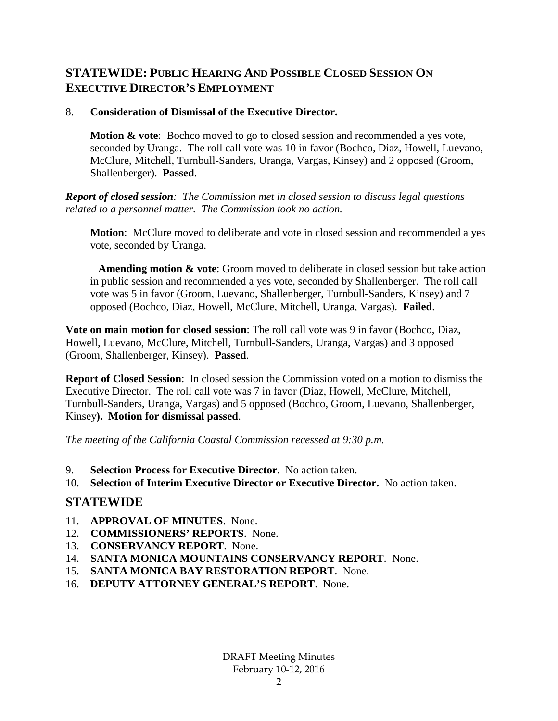## **STATEWIDE: PUBLIC HEARING AND POSSIBLE CLOSED SESSION ON EXECUTIVE DIRECTOR'S EMPLOYMENT**

## 8. **Consideration of Dismissal of the Executive Director.**

**Motion & vote:** Bochco moved to go to closed session and recommended a yes vote, seconded by Uranga. The roll call vote was 10 in favor (Bochco, Diaz, Howell, Luevano, McClure, Mitchell, Turnbull-Sanders, Uranga, Vargas, Kinsey) and 2 opposed (Groom, Shallenberger). **Passed**.

*Report of closed session: The Commission met in closed session to discuss legal questions related to a personnel matter. The Commission took no action.* 

**Motion**: McClure moved to deliberate and vote in closed session and recommended a yes vote, seconded by Uranga.

 **Amending motion & vote**: Groom moved to deliberate in closed session but take action in public session and recommended a yes vote, seconded by Shallenberger. The roll call vote was 5 in favor (Groom, Luevano, Shallenberger, Turnbull-Sanders, Kinsey) and 7 opposed (Bochco, Diaz, Howell, McClure, Mitchell, Uranga, Vargas). **Failed**.

**Vote on main motion for closed session**: The roll call vote was 9 in favor (Bochco, Diaz, Howell, Luevano, McClure, Mitchell, Turnbull-Sanders, Uranga, Vargas) and 3 opposed (Groom, Shallenberger, Kinsey). **Passed**.

**Report of Closed Session**: In closed session the Commission voted on a motion to dismiss the Executive Director. The roll call vote was 7 in favor (Diaz, Howell, McClure, Mitchell, Turnbull-Sanders, Uranga, Vargas) and 5 opposed (Bochco, Groom, Luevano, Shallenberger, Kinsey**). Motion for dismissal passed**.

*The meeting of the California Coastal Commission recessed at 9:30 p.m.* 

- 9. **Selection Process for Executive Director.** No action taken.
- 10. **Selection of Interim Executive Director or Executive Director.** No action taken.

# **STATEWIDE**

- 11. **APPROVAL OF MINUTES**. None.
- 12. **COMMISSIONERS' REPORTS**. None.
- 13. **CONSERVANCY REPORT**. None.
- 14. **SANTA MONICA MOUNTAINS CONSERVANCY REPORT**. None.
- 15. **SANTA MONICA BAY RESTORATION REPORT**. None.
- 16. **DEPUTY ATTORNEY GENERAL'S REPORT**. None.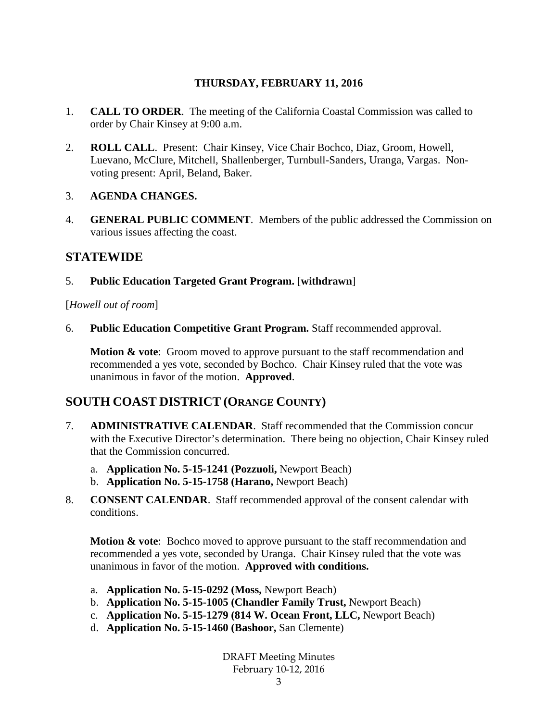## **THURSDAY, FEBRUARY 11, 2016**

- 1. **CALL TO ORDER**. The meeting of the California Coastal Commission was called to order by Chair Kinsey at 9:00 a.m.
- 2. **ROLL CALL**. Present: Chair Kinsey, Vice Chair Bochco, Diaz, Groom, Howell, Luevano, McClure, Mitchell, Shallenberger, Turnbull-Sanders, Uranga, Vargas. Nonvoting present: April, Beland, Baker.

## 3. **AGENDA CHANGES.**

4. **GENERAL PUBLIC COMMENT**. Members of the public addressed the Commission on various issues affecting the coast.

## **STATEWIDE**

5. **Public Education Targeted Grant Program.** [**withdrawn**]

[*Howell out of room*]

6. **Public Education Competitive Grant Program.** Staff recommended approval.

**Motion & vote**: Groom moved to approve pursuant to the staff recommendation and recommended a yes vote, seconded by Bochco. Chair Kinsey ruled that the vote was unanimous in favor of the motion. **Approved**.

## **SOUTH COAST DISTRICT (ORANGE COUNTY)**

- 7. **ADMINISTRATIVE CALENDAR**. Staff recommended that the Commission concur with the Executive Director's determination. There being no objection, Chair Kinsey ruled that the Commission concurred.
	- a. **Application No. 5-15-1241 (Pozzuoli,** Newport Beach)
	- b. **Application No. 5-15-1758 (Harano,** Newport Beach)
- 8. **CONSENT CALENDAR**. Staff recommended approval of the consent calendar with conditions.

**Motion & vote:** Bochco moved to approve pursuant to the staff recommendation and recommended a yes vote, seconded by Uranga. Chair Kinsey ruled that the vote was unanimous in favor of the motion. **Approved with conditions.** 

- a. **Application No. 5-15-0292 (Moss,** Newport Beach)
- b. **Application No. 5-15-1005 (Chandler Family Trust,** Newport Beach)
- c. **Application No. 5-15-1279 (814 W. Ocean Front, LLC,** Newport Beach)
- d. **Application No. 5-15-1460 (Bashoor,** San Clemente)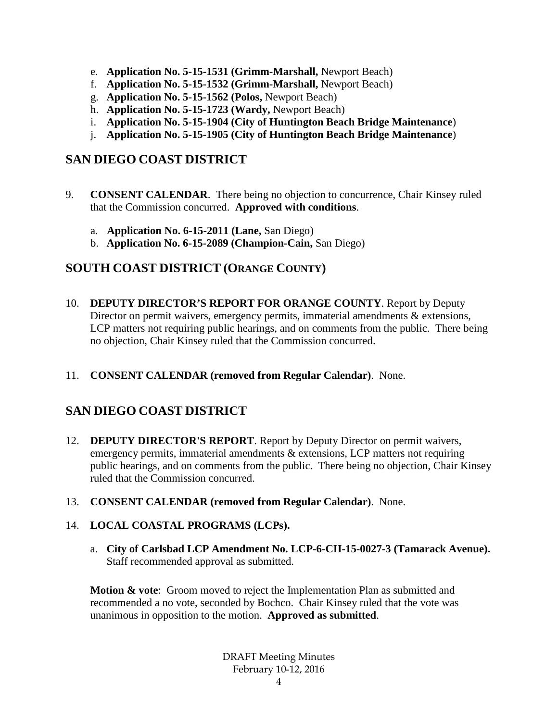- e. **Application No. 5-15-1531 (Grimm-Marshall,** Newport Beach)
- f. **Application No. 5-15-1532 (Grimm-Marshall,** Newport Beach)
- g. **Application No. 5-15-1562 (Polos,** Newport Beach)
- h. **Application No. 5-15-1723 (Wardy,** Newport Beach)
- i. **Application No. 5-15-1904 (City of Huntington Beach Bridge Maintenance**)
- j. **Application No. 5-15-1905 (City of Huntington Beach Bridge Maintenance**)

# **SAN DIEGO COAST DISTRICT**

- 9. **CONSENT CALENDAR**. There being no objection to concurrence, Chair Kinsey ruled that the Commission concurred. **Approved with conditions**.
	- a. **Application No. 6-15-2011 (Lane,** San Diego)
	- b. **Application No. 6-15-2089 (Champion-Cain,** San Diego)

## **SOUTH COAST DISTRICT (ORANGE COUNTY)**

- 10. **DEPUTY DIRECTOR'S REPORT FOR ORANGE COUNTY**. Report by Deputy Director on permit waivers, emergency permits, immaterial amendments & extensions, LCP matters not requiring public hearings, and on comments from the public. There being no objection, Chair Kinsey ruled that the Commission concurred.
- 11. **CONSENT CALENDAR (removed from Regular Calendar)**. None.

# **SAN DIEGO COAST DISTRICT**

- 12. **DEPUTY DIRECTOR'S REPORT**. Report by Deputy Director on permit waivers, emergency permits, immaterial amendments & extensions, LCP matters not requiring public hearings, and on comments from the public. There being no objection, Chair Kinsey ruled that the Commission concurred.
- 13. **CONSENT CALENDAR (removed from Regular Calendar)**. None.

## 14. **LOCAL COASTAL PROGRAMS (LCPs).**

a. **City of Carlsbad LCP Amendment No. LCP-6-CII-15-0027-3 (Tamarack Avenue).**  Staff recommended approval as submitted.

**Motion & vote:** Groom moved to reject the Implementation Plan as submitted and recommended a no vote, seconded by Bochco. Chair Kinsey ruled that the vote was unanimous in opposition to the motion. **Approved as submitted**.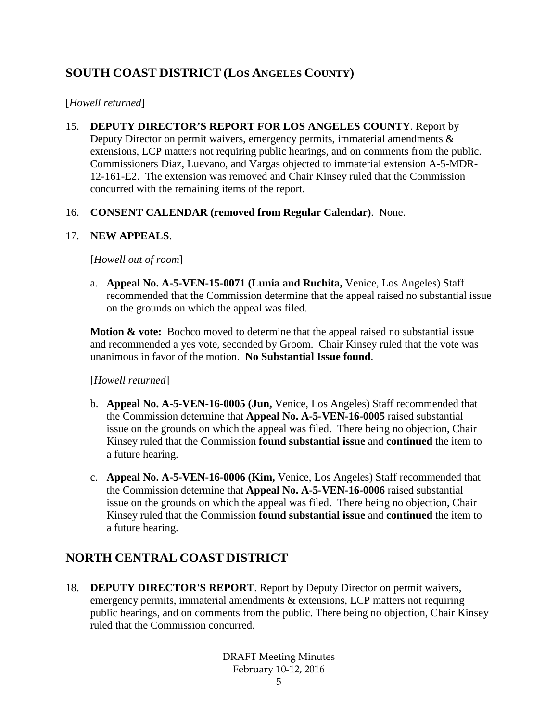# **SOUTH COAST DISTRICT (LOS ANGELES COUNTY)**

## [*Howell returned*]

15. **DEPUTY DIRECTOR'S REPORT FOR LOS ANGELES COUNTY**. Report by Deputy Director on permit waivers, emergency permits, immaterial amendments  $\&$ extensions, LCP matters not requiring public hearings, and on comments from the public. Commissioners Diaz, Luevano, and Vargas objected to immaterial extension A-5-MDR-12-161-E2. The extension was removed and Chair Kinsey ruled that the Commission concurred with the remaining items of the report.

## 16. **CONSENT CALENDAR (removed from Regular Calendar)**. None.

## 17. **NEW APPEALS**.

[*Howell out of room*]

a. **Appeal No. A-5-VEN-15-0071 (Lunia and Ruchita,** Venice, Los Angeles) Staff recommended that the Commission determine that the appeal raised no substantial issue on the grounds on which the appeal was filed.

**Motion & vote:** Bochco moved to determine that the appeal raised no substantial issue and recommended a yes vote, seconded by Groom. Chair Kinsey ruled that the vote was unanimous in favor of the motion. **No Substantial Issue found**.

## [*Howell returned*]

- b. **Appeal No. A-5-VEN-16-0005 (Jun,** Venice, Los Angeles) Staff recommended that the Commission determine that **Appeal No. A-5-VEN-16-0005** raised substantial issue on the grounds on which the appeal was filed. There being no objection, Chair Kinsey ruled that the Commission **found substantial issue** and **continued** the item to a future hearing.
- c. **Appeal No. A-5-VEN-16-0006 (Kim,** Venice, Los Angeles) Staff recommended that the Commission determine that **Appeal No. A-5-VEN-16-0006** raised substantial issue on the grounds on which the appeal was filed. There being no objection, Chair Kinsey ruled that the Commission **found substantial issue** and **continued** the item to a future hearing.

# **NORTH CENTRAL COAST DISTRICT**

18. **DEPUTY DIRECTOR'S REPORT**. Report by Deputy Director on permit waivers, emergency permits, immaterial amendments & extensions, LCP matters not requiring public hearings, and on comments from the public. There being no objection, Chair Kinsey ruled that the Commission concurred.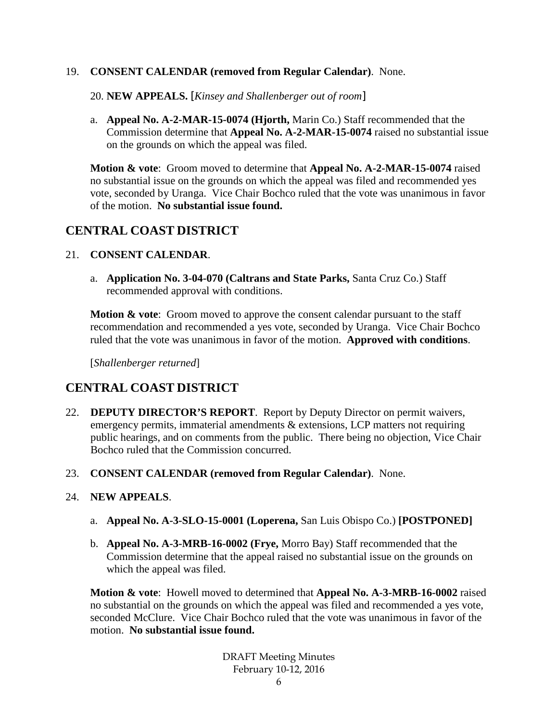#### 19. **CONSENT CALENDAR (removed from Regular Calendar)**. None.

- 20. **NEW APPEALS.** [*Kinsey and Shallenberger out of room*]
- a. **Appeal No. A-2-MAR-15-0074 (Hjorth,** Marin Co.) Staff recommended that the Commission determine that **Appeal No. A-2-MAR-15-0074** raised no substantial issue on the grounds on which the appeal was filed.

**Motion & vote**: Groom moved to determine that **Appeal No. A-2-MAR-15-0074** raised no substantial issue on the grounds on which the appeal was filed and recommended yes vote, seconded by Uranga. Vice Chair Bochco ruled that the vote was unanimous in favor of the motion. **No substantial issue found.**

## **CENTRAL COAST DISTRICT**

## 21. **CONSENT CALENDAR**.

a. **Application No. 3-04-070 (Caltrans and State Parks,** Santa Cruz Co.) Staff recommended approval with conditions.

**Motion & vote:** Groom moved to approve the consent calendar pursuant to the staff recommendation and recommended a yes vote, seconded by Uranga. Vice Chair Bochco ruled that the vote was unanimous in favor of the motion. **Approved with conditions**.

[*Shallenberger returned*]

# **CENTRAL COAST DISTRICT**

- 22. **DEPUTY DIRECTOR'S REPORT**. Report by Deputy Director on permit waivers, emergency permits, immaterial amendments & extensions, LCP matters not requiring public hearings, and on comments from the public. There being no objection, Vice Chair Bochco ruled that the Commission concurred.
- 23. **CONSENT CALENDAR (removed from Regular Calendar)**. None.

## 24. **NEW APPEALS**.

- a. **Appeal No. A-3-SLO-15-0001 (Loperena,** San Luis Obispo Co.) **[POSTPONED]**
- b. **Appeal No. A-3-MRB-16-0002 (Frye,** Morro Bay) Staff recommended that the Commission determine that the appeal raised no substantial issue on the grounds on which the appeal was filed.

**Motion & vote**: Howell moved to determined that **Appeal No. A-3-MRB-16-0002** raised no substantial on the grounds on which the appeal was filed and recommended a yes vote, seconded McClure. Vice Chair Bochco ruled that the vote was unanimous in favor of the motion. **No substantial issue found.**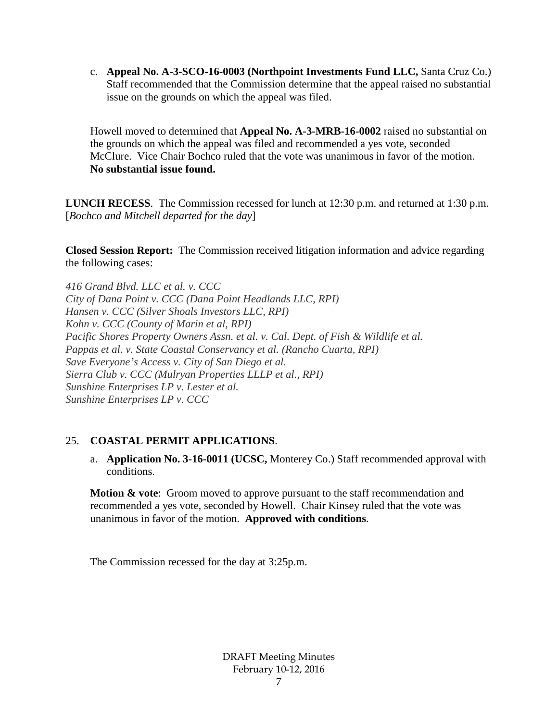c. **Appeal No. A-3-SCO-16-0003 (Northpoint Investments Fund LLC,** Santa Cruz Co.) Staff recommended that the Commission determine that the appeal raised no substantial issue on the grounds on which the appeal was filed.

Howell moved to determined that **Appeal No. A-3-MRB-16-0002** raised no substantial on the grounds on which the appeal was filed and recommended a yes vote, seconded McClure. Vice Chair Bochco ruled that the vote was unanimous in favor of the motion. **No substantial issue found.**

**LUNCH RECESS**. The Commission recessed for lunch at 12:30 p.m. and returned at 1:30 p.m. [*Bochco and Mitchell departed for the day*]

**Closed Session Report:** The Commission received litigation information and advice regarding the following cases:

*416 Grand Blvd. LLC et al. v. CCC City of Dana Point v. CCC (Dana Point Headlands LLC, RPI) Hansen v. CCC (Silver Shoals Investors LLC, RPI) Kohn v. CCC (County of Marin et al, RPI) Pacific Shores Property Owners Assn. et al. v. Cal. Dept. of Fish & Wildlife et al. Pappas et al. v. State Coastal Conservancy et al. (Rancho Cuarta, RPI) Save Everyone's Access v. City of San Diego et al. Sierra Club v. CCC (Mulryan Properties LLLP et al., RPI) Sunshine Enterprises LP v. Lester et al. Sunshine Enterprises LP v. CCC* 

## 25. **COASTAL PERMIT APPLICATIONS**.

a. **Application No. 3-16-0011 (UCSC,** Monterey Co.) Staff recommended approval with conditions.

**Motion & vote:** Groom moved to approve pursuant to the staff recommendation and recommended a yes vote, seconded by Howell. Chair Kinsey ruled that the vote was unanimous in favor of the motion. **Approved with conditions**.

The Commission recessed for the day at 3:25p.m.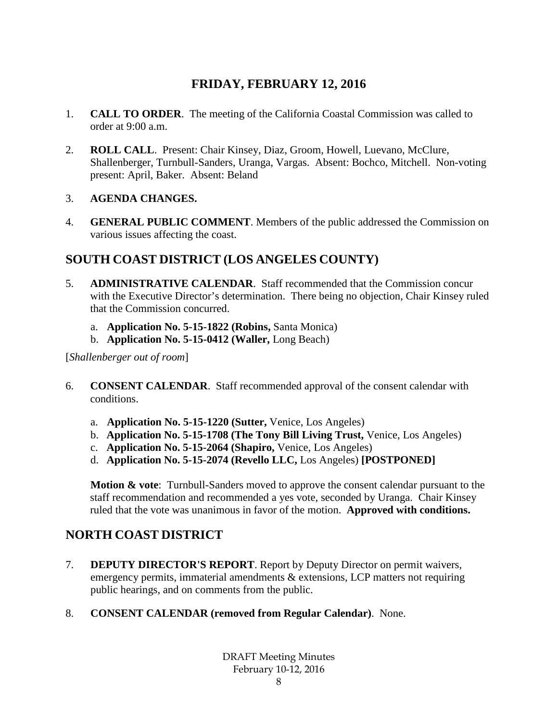# **FRIDAY, FEBRUARY 12, 2016**

- 1. **CALL TO ORDER**. The meeting of the California Coastal Commission was called to order at 9:00 a.m.
- 2. **ROLL CALL**. Present: Chair Kinsey, Diaz, Groom, Howell, Luevano, McClure, Shallenberger, Turnbull-Sanders, Uranga, Vargas. Absent: Bochco, Mitchell. Non-voting present: April, Baker. Absent: Beland

## 3. **AGENDA CHANGES.**

4. **GENERAL PUBLIC COMMENT**. Members of the public addressed the Commission on various issues affecting the coast.

# **SOUTH COAST DISTRICT (LOS ANGELES COUNTY)**

- 5. **ADMINISTRATIVE CALENDAR**. Staff recommended that the Commission concur with the Executive Director's determination. There being no objection, Chair Kinsey ruled that the Commission concurred.
	- a. **Application No. 5-15-1822 (Robins,** Santa Monica)
	- b. **Application No. 5-15-0412 (Waller,** Long Beach)

[*Shallenberger out of room*]

- 6. **CONSENT CALENDAR**. Staff recommended approval of the consent calendar with conditions.
	- a. **Application No. 5-15-1220 (Sutter,** Venice, Los Angeles)
	- b. **Application No. 5-15-1708 (The Tony Bill Living Trust,** Venice, Los Angeles)
	- c. **Application No. 5-15-2064 (Shapiro,** Venice, Los Angeles)
	- d. **Application No. 5-15-2074 (Revello LLC,** Los Angeles) **[POSTPONED]**

**Motion & vote**: Turnbull-Sanders moved to approve the consent calendar pursuant to the staff recommendation and recommended a yes vote, seconded by Uranga. Chair Kinsey ruled that the vote was unanimous in favor of the motion. **Approved with conditions.**

# **NORTH COAST DISTRICT**

- 7. **DEPUTY DIRECTOR'S REPORT**. Report by Deputy Director on permit waivers, emergency permits, immaterial amendments & extensions, LCP matters not requiring public hearings, and on comments from the public.
- 8. **CONSENT CALENDAR (removed from Regular Calendar)**. None.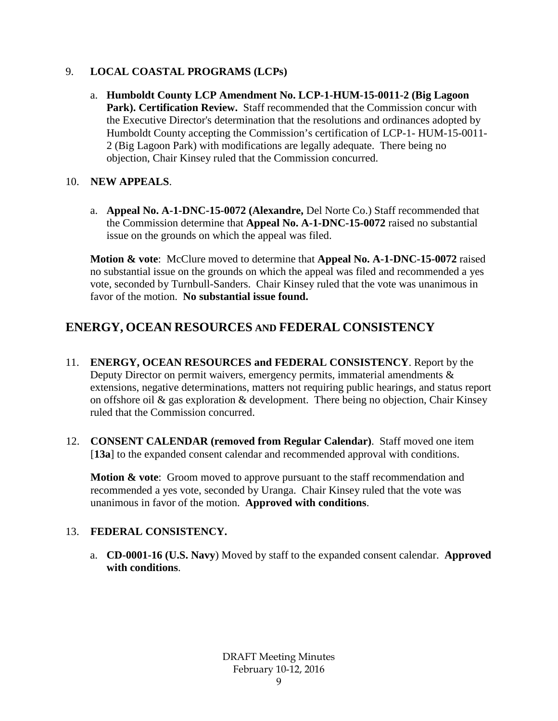## 9. **LOCAL COASTAL PROGRAMS (LCPs)**

a. **Humboldt County LCP Amendment No. LCP-1-HUM-15-0011-2 (Big Lagoon**  Park). Certification Review. Staff recommended that the Commission concur with the Executive Director's determination that the resolutions and ordinances adopted by Humboldt County accepting the Commission's certification of LCP-1- HUM-15-0011- 2 (Big Lagoon Park) with modifications are legally adequate. There being no objection, Chair Kinsey ruled that the Commission concurred.

## 10. **NEW APPEALS**.

a. **Appeal No. A-1-DNC-15-0072 (Alexandre,** Del Norte Co.) Staff recommended that the Commission determine that **Appeal No. A-1-DNC-15-0072** raised no substantial issue on the grounds on which the appeal was filed.

**Motion & vote**: McClure moved to determine that **Appeal No. A-1-DNC-15-0072** raised no substantial issue on the grounds on which the appeal was filed and recommended a yes vote, seconded by Turnbull-Sanders. Chair Kinsey ruled that the vote was unanimous in favor of the motion. **No substantial issue found.**

# **ENERGY, OCEAN RESOURCES AND FEDERAL CONSISTENCY**

- 11. **ENERGY, OCEAN RESOURCES and FEDERAL CONSISTENCY**. Report by the Deputy Director on permit waivers, emergency permits, immaterial amendments & extensions, negative determinations, matters not requiring public hearings, and status report on offshore oil & gas exploration & development. There being no objection, Chair Kinsey ruled that the Commission concurred.
- 12. **CONSENT CALENDAR (removed from Regular Calendar)**. Staff moved one item [**13a**] to the expanded consent calendar and recommended approval with conditions.

**Motion & vote**: Groom moved to approve pursuant to the staff recommendation and recommended a yes vote, seconded by Uranga. Chair Kinsey ruled that the vote was unanimous in favor of the motion. **Approved with conditions**.

## 13. **FEDERAL CONSISTENCY.**

a. **CD-0001-16 (U.S. Navy**) Moved by staff to the expanded consent calendar. **Approved with conditions**.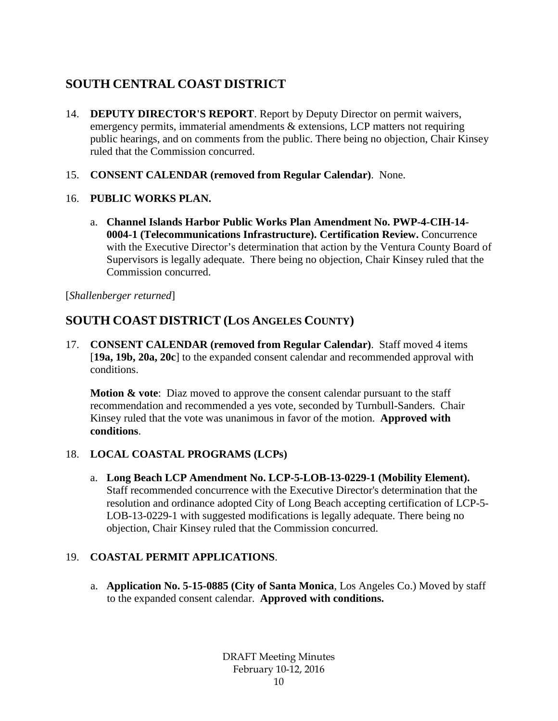# **SOUTH CENTRAL COAST DISTRICT**

- 14. **DEPUTY DIRECTOR'S REPORT**. Report by Deputy Director on permit waivers, emergency permits, immaterial amendments & extensions, LCP matters not requiring public hearings, and on comments from the public. There being no objection, Chair Kinsey ruled that the Commission concurred.
- 15. **CONSENT CALENDAR (removed from Regular Calendar)**. None.
- 16. **PUBLIC WORKS PLAN.**
	- a. **Channel Islands Harbor Public Works Plan Amendment No. PWP-4-CIH-14- 0004-1 (Telecommunications Infrastructure). Certification Review.** Concurrence with the Executive Director's determination that action by the Ventura County Board of Supervisors is legally adequate. There being no objection, Chair Kinsey ruled that the Commission concurred.

[*Shallenberger returned*]

# **SOUTH COAST DISTRICT (LOS ANGELES COUNTY)**

17. **CONSENT CALENDAR (removed from Regular Calendar)**. Staff moved 4 items [**19a, 19b, 20a, 20c**] to the expanded consent calendar and recommended approval with conditions.

**Motion & vote:** Diaz moved to approve the consent calendar pursuant to the staff recommendation and recommended a yes vote, seconded by Turnbull-Sanders. Chair Kinsey ruled that the vote was unanimous in favor of the motion. **Approved with conditions**.

## 18. **LOCAL COASTAL PROGRAMS (LCPs)**

a. **Long Beach LCP Amendment No. LCP-5-LOB-13-0229-1 (Mobility Element).** Staff recommended concurrence with the Executive Director's determination that the resolution and ordinance adopted City of Long Beach accepting certification of LCP-5- LOB-13-0229-1 with suggested modifications is legally adequate. There being no objection, Chair Kinsey ruled that the Commission concurred.

## 19. **COASTAL PERMIT APPLICATIONS**.

a. **Application No. 5-15-0885 (City of Santa Monica**, Los Angeles Co.) Moved by staff to the expanded consent calendar. **Approved with conditions.**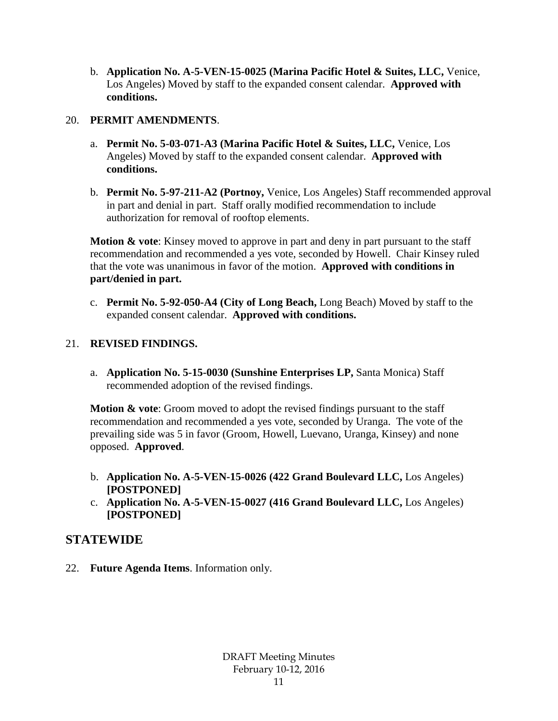b. **Application No. A-5-VEN-15-0025 (Marina Pacific Hotel & Suites, LLC,** Venice, Los Angeles) Moved by staff to the expanded consent calendar. **Approved with conditions.**

## 20. **PERMIT AMENDMENTS**.

- a. **Permit No. 5-03-071-A3 (Marina Pacific Hotel & Suites, LLC,** Venice, Los Angeles) Moved by staff to the expanded consent calendar. **Approved with conditions.**
- b. **Permit No. 5-97-211-A2 (Portnoy,** Venice, Los Angeles) Staff recommended approval in part and denial in part. Staff orally modified recommendation to include authorization for removal of rooftop elements.

**Motion & vote:** Kinsey moved to approve in part and deny in part pursuant to the staff recommendation and recommended a yes vote, seconded by Howell. Chair Kinsey ruled that the vote was unanimous in favor of the motion. **Approved with conditions in part/denied in part.**

c. **Permit No. 5-92-050-A4 (City of Long Beach,** Long Beach) Moved by staff to the expanded consent calendar. **Approved with conditions.**

## 21. **REVISED FINDINGS.**

a. **Application No. 5-15-0030 (Sunshine Enterprises LP,** Santa Monica) Staff recommended adoption of the revised findings.

**Motion & vote:** Groom moved to adopt the revised findings pursuant to the staff recommendation and recommended a yes vote, seconded by Uranga. The vote of the prevailing side was 5 in favor (Groom, Howell, Luevano, Uranga, Kinsey) and none opposed. **Approved**.

- b. **Application No. A-5-VEN-15-0026 (422 Grand Boulevard LLC,** Los Angeles) **[POSTPONED]**
- c. **Application No. A-5-VEN-15-0027 (416 Grand Boulevard LLC,** Los Angeles) **[POSTPONED]**

## **STATEWIDE**

22. **Future Agenda Items**. Information only.